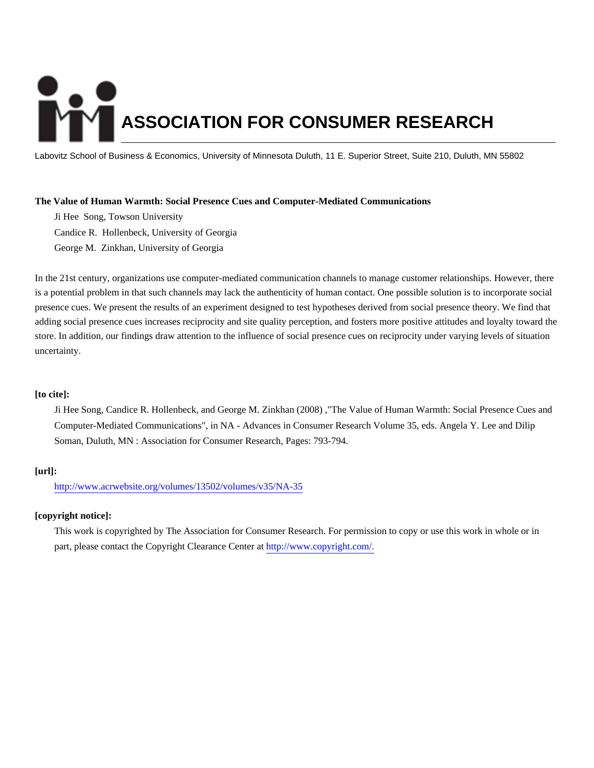# **ASSOCIATION FOR CONSUMER RESEARCH**

Labovitz School of Business & Economics, University of Minnesota Duluth, 11 E. Superior Street, Suite 210, Duluth, MN 55802

#### **The Value of Human Warmth: Social Presence Cues and Computer-Mediated Communications**

Ji Hee Song, Towson University Candice R. Hollenbeck, University of Georgia George M. Zinkhan, University of Georgia

In the 21st century, organizations use computer-mediated communication channels to manage customer relationships. However, there is a potential problem in that such channels may lack the authenticity of human contact. One possible solution is to incorporate social presence cues. We present the results of an experiment designed to test hypotheses derived from social presence theory. We find that adding social presence cues increases reciprocity and site quality perception, and fosters more positive attitudes and loyalty toward the store. In addition, our findings draw attention to the influence of social presence cues on reciprocity under varying levels of situation uncertainty.

## **[to cite]:**

Ji Hee Song, Candice R. Hollenbeck, and George M. Zinkhan (2008) ,"The Value of Human Warmth: Social Presence Cues and Computer-Mediated Communications", in NA - Advances in Consumer Research Volume 35, eds. Angela Y. Lee and Dilip Soman, Duluth, MN : Association for Consumer Research, Pages: 793-794.

# **[url]:**

<http://www.acrwebsite.org/volumes/13502/volumes/v35/NA-35>

## **[copyright notice]:**

This work is copyrighted by The Association for Consumer Research. For permission to copy or use this work in whole or in part, please contact the Copyright Clearance Center at [http://www.copyright.com/.](http://www.copyright.com/)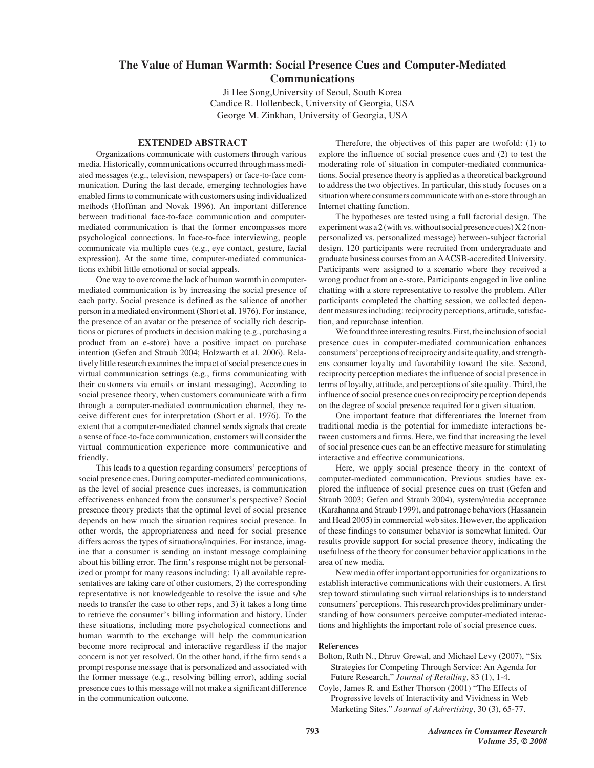# **The Value of Human Warmth: Social Presence Cues and Computer-Mediated Communications**

Ji Hee Song,University of Seoul, South Korea Candice R. Hollenbeck, University of Georgia, USA George M. Zinkhan, University of Georgia, USA

#### **EXTENDED ABSTRACT**

Organizations communicate with customers through various media. Historically, communications occurred through mass mediated messages (e.g., television, newspapers) or face-to-face communication. During the last decade, emerging technologies have enabled firms to communicate with customers using individualized methods (Hoffman and Novak 1996). An important difference between traditional face-to-face communication and computermediated communication is that the former encompasses more psychological connections. In face-to-face interviewing, people communicate via multiple cues (e.g., eye contact, gesture, facial expression). At the same time, computer-mediated communications exhibit little emotional or social appeals.

One way to overcome the lack of human warmth in computermediated communication is by increasing the social presence of each party. Social presence is defined as the salience of another person in a mediated environment (Short et al. 1976). For instance, the presence of an avatar or the presence of socially rich descriptions or pictures of products in decision making (e.g., purchasing a product from an e-store) have a positive impact on purchase intention (Gefen and Straub 2004; Holzwarth et al. 2006). Relatively little research examines the impact of social presence cues in virtual communication settings (e.g., firms communicating with their customers via emails or instant messaging). According to social presence theory, when customers communicate with a firm through a computer-mediated communication channel, they receive different cues for interpretation (Short et al. 1976). To the extent that a computer-mediated channel sends signals that create a sense of face-to-face communication, customers will consider the virtual communication experience more communicative and friendly.

This leads to a question regarding consumers' perceptions of social presence cues. During computer-mediated communications, as the level of social presence cues increases, is communication effectiveness enhanced from the consumer's perspective? Social presence theory predicts that the optimal level of social presence depends on how much the situation requires social presence. In other words, the appropriateness and need for social presence differs across the types of situations/inquiries. For instance, imagine that a consumer is sending an instant message complaining about his billing error. The firm's response might not be personalized or prompt for many reasons including: 1) all available representatives are taking care of other customers, 2) the corresponding representative is not knowledgeable to resolve the issue and s/he needs to transfer the case to other reps, and 3) it takes a long time to retrieve the consumer's billing information and history. Under these situations, including more psychological connections and human warmth to the exchange will help the communication become more reciprocal and interactive regardless if the major concern is not yet resolved. On the other hand, if the firm sends a prompt response message that is personalized and associated with the former message (e.g., resolving billing error), adding social presence cues to this message will not make a significant difference in the communication outcome.

Therefore, the objectives of this paper are twofold: (1) to explore the influence of social presence cues and (2) to test the moderating role of situation in computer-mediated communications. Social presence theory is applied as a theoretical background to address the two objectives. In particular, this study focuses on a situation where consumers communicate with an e-store through an Internet chatting function.

The hypotheses are tested using a full factorial design. The experiment was a 2 (with vs. without social presence cues)  $X2$  (nonpersonalized vs. personalized message) between-subject factorial design. 120 participants were recruited from undergraduate and graduate business courses from an AACSB-accredited University. Participants were assigned to a scenario where they received a wrong product from an e-store. Participants engaged in live online chatting with a store representative to resolve the problem. After participants completed the chatting session, we collected dependent measures including: reciprocity perceptions, attitude, satisfaction, and repurchase intention.

We found three interesting results. First, the inclusion of social presence cues in computer-mediated communication enhances consumers' perceptions of reciprocity and site quality, and strengthens consumer loyalty and favorability toward the site. Second, reciprocity perception mediates the influence of social presence in terms of loyalty, attitude, and perceptions of site quality. Third, the influence of social presence cues on reciprocity perception depends on the degree of social presence required for a given situation.

One important feature that differentiates the Internet from traditional media is the potential for immediate interactions between customers and firms. Here, we find that increasing the level of social presence cues can be an effective measure for stimulating interactive and effective communications.

Here, we apply social presence theory in the context of computer-mediated communication. Previous studies have explored the influence of social presence cues on trust (Gefen and Straub 2003; Gefen and Straub 2004), system/media acceptance (Karahanna and Straub 1999), and patronage behaviors (Hassanein and Head 2005) in commercial web sites. However, the application of these findings to consumer behavior is somewhat limited. Our results provide support for social presence theory, indicating the usefulness of the theory for consumer behavior applications in the area of new media.

New media offer important opportunities for organizations to establish interactive communications with their customers. A first step toward stimulating such virtual relationships is to understand consumers' perceptions. This research provides preliminary understanding of how consumers perceive computer-mediated interactions and highlights the important role of social presence cues.

#### **References**

- Bolton, Ruth N., Dhruv Grewal, and Michael Levy (2007), "Six Strategies for Competing Through Service: An Agenda for Future Research," *Journal of Retailing*, 83 (1), 1-4.
- Coyle, James R. and Esther Thorson (2001) "The Effects of Progressive levels of Interactivity and Vividness in Web Marketing Sites." *Journal of Advertising,* 30 (3), 65-77.